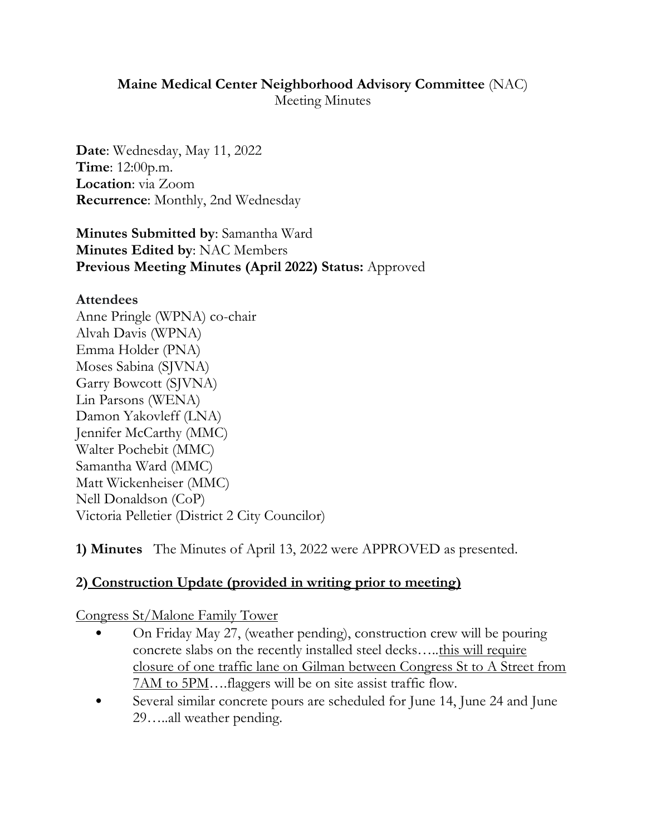### **Maine Medical Center Neighborhood Advisory Committee** (NAC) Meeting Minutes

**Date**: Wednesday, May 11, 2022 **Time**: 12:00p.m. **Location**: via Zoom **Recurrence**: Monthly, 2nd Wednesday

**Minutes Submitted by**: Samantha Ward **Minutes Edited by**: NAC Members **Previous Meeting Minutes (April 2022) Status:** Approved

#### **Attendees**

Anne Pringle (WPNA) co-chair Alvah Davis (WPNA) Emma Holder (PNA) Moses Sabina (SJVNA) Garry Bowcott (SJVNA) Lin Parsons (WENA) Damon Yakovleff (LNA) Jennifer McCarthy (MMC) Walter Pochebit (MMC) Samantha Ward (MMC) Matt Wickenheiser (MMC) Nell Donaldson (CoP) Victoria Pelletier (District 2 City Councilor)

**1) Minutes** The Minutes of April 13, 2022 were APPROVED as presented.

## **2) Construction Update (provided in writing prior to meeting)**

Congress St/Malone Family Tower

- On Friday May 27, (weather pending), construction crew will be pouring concrete slabs on the recently installed steel decks…..this will require closure of one traffic lane on Gilman between Congress St to A Street from 7AM to 5PM….flaggers will be on site assist traffic flow.
- Several similar concrete pours are scheduled for June 14, June 24 and June 29…..all weather pending.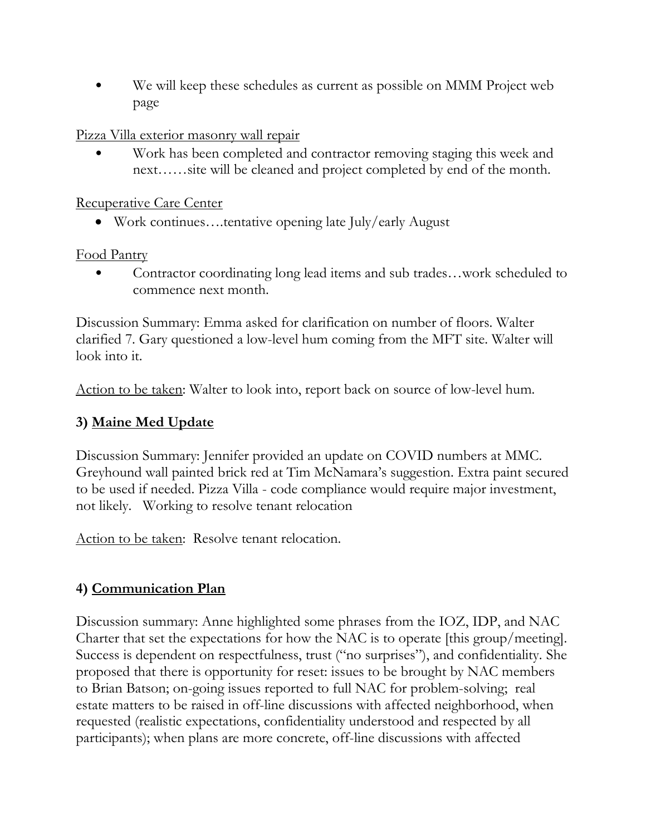• We will keep these schedules as current as possible on MMM Project web page

Pizza Villa exterior masonry wall repair

• Work has been completed and contractor removing staging this week and next……site will be cleaned and project completed by end of the month.

Recuperative Care Center

Work continues….tentative opening late July/early August

Food Pantry

• Contractor coordinating long lead items and sub trades…work scheduled to commence next month.

Discussion Summary: Emma asked for clarification on number of floors. Walter clarified 7. Gary questioned a low-level hum coming from the MFT site. Walter will look into it.

Action to be taken: Walter to look into, report back on source of low-level hum.

## **3) Maine Med Update**

Discussion Summary: Jennifer provided an update on COVID numbers at MMC. Greyhound wall painted brick red at Tim McNamara's suggestion. Extra paint secured to be used if needed. Pizza Villa - code compliance would require major investment, not likely. Working to resolve tenant relocation

Action to be taken: Resolve tenant relocation.

# **4) Communication Plan**

Discussion summary: Anne highlighted some phrases from the IOZ, IDP, and NAC Charter that set the expectations for how the NAC is to operate [this group/meeting]. Success is dependent on respectfulness, trust ("no surprises"), and confidentiality. She proposed that there is opportunity for reset: issues to be brought by NAC members to Brian Batson; on-going issues reported to full NAC for problem-solving; real estate matters to be raised in off-line discussions with affected neighborhood, when requested (realistic expectations, confidentiality understood and respected by all participants); when plans are more concrete, off-line discussions with affected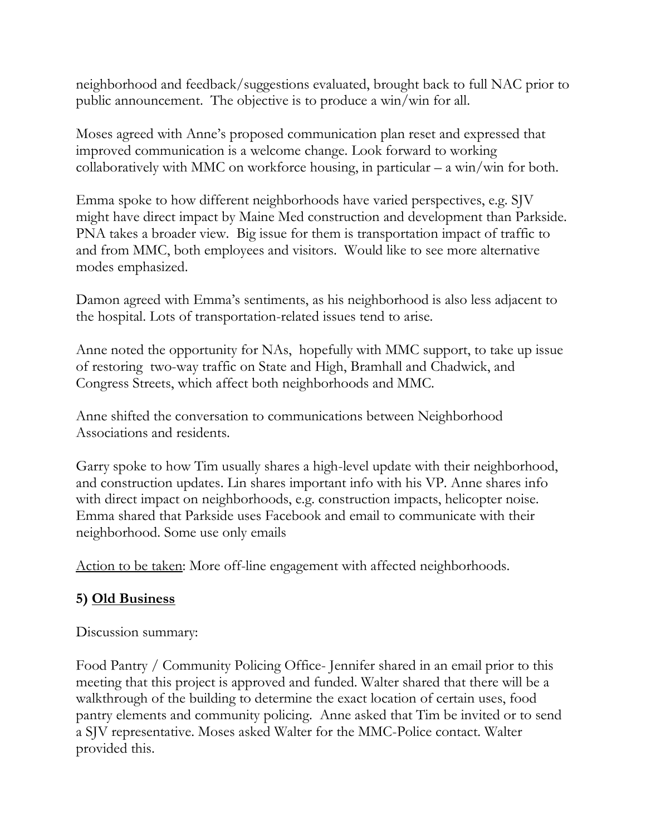neighborhood and feedback/suggestions evaluated, brought back to full NAC prior to public announcement. The objective is to produce a win/win for all.

Moses agreed with Anne's proposed communication plan reset and expressed that improved communication is a welcome change. Look forward to working collaboratively with MMC on workforce housing, in particular – a win/win for both.

Emma spoke to how different neighborhoods have varied perspectives, e.g. SJV might have direct impact by Maine Med construction and development than Parkside. PNA takes a broader view. Big issue for them is transportation impact of traffic to and from MMC, both employees and visitors. Would like to see more alternative modes emphasized.

Damon agreed with Emma's sentiments, as his neighborhood is also less adjacent to the hospital. Lots of transportation-related issues tend to arise.

Anne noted the opportunity for NAs, hopefully with MMC support, to take up issue of restoring two-way traffic on State and High, Bramhall and Chadwick, and Congress Streets, which affect both neighborhoods and MMC.

Anne shifted the conversation to communications between Neighborhood Associations and residents.

Garry spoke to how Tim usually shares a high-level update with their neighborhood, and construction updates. Lin shares important info with his VP. Anne shares info with direct impact on neighborhoods, e.g. construction impacts, helicopter noise. Emma shared that Parkside uses Facebook and email to communicate with their neighborhood. Some use only emails

Action to be taken: More off-line engagement with affected neighborhoods.

## **5) Old Business**

Discussion summary:

Food Pantry / Community Policing Office- Jennifer shared in an email prior to this meeting that this project is approved and funded. Walter shared that there will be a walkthrough of the building to determine the exact location of certain uses, food pantry elements and community policing. Anne asked that Tim be invited or to send a SJV representative. Moses asked Walter for the MMC-Police contact. Walter provided this.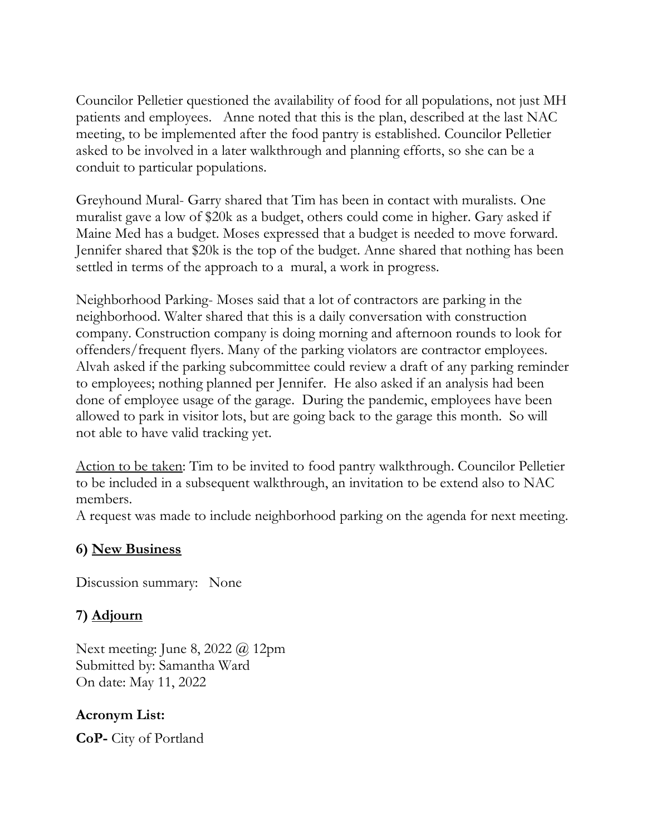Councilor Pelletier questioned the availability of food for all populations, not just MH patients and employees. Anne noted that this is the plan, described at the last NAC meeting, to be implemented after the food pantry is established. Councilor Pelletier asked to be involved in a later walkthrough and planning efforts, so she can be a conduit to particular populations.

Greyhound Mural- Garry shared that Tim has been in contact with muralists. One muralist gave a low of \$20k as a budget, others could come in higher. Gary asked if Maine Med has a budget. Moses expressed that a budget is needed to move forward. Jennifer shared that \$20k is the top of the budget. Anne shared that nothing has been settled in terms of the approach to a mural, a work in progress.

Neighborhood Parking- Moses said that a lot of contractors are parking in the neighborhood. Walter shared that this is a daily conversation with construction company. Construction company is doing morning and afternoon rounds to look for offenders/frequent flyers. Many of the parking violators are contractor employees. Alvah asked if the parking subcommittee could review a draft of any parking reminder to employees; nothing planned per Jennifer. He also asked if an analysis had been done of employee usage of the garage. During the pandemic, employees have been allowed to park in visitor lots, but are going back to the garage this month. So will not able to have valid tracking yet.

Action to be taken: Tim to be invited to food pantry walkthrough. Councilor Pelletier to be included in a subsequent walkthrough, an invitation to be extend also to NAC members.

A request was made to include neighborhood parking on the agenda for next meeting.

### **6) New Business**

Discussion summary: None

## **7) Adjourn**

Next meeting: June 8, 2022 @ 12pm Submitted by: Samantha Ward On date: May 11, 2022

### **Acronym List:**

**CoP-** City of Portland